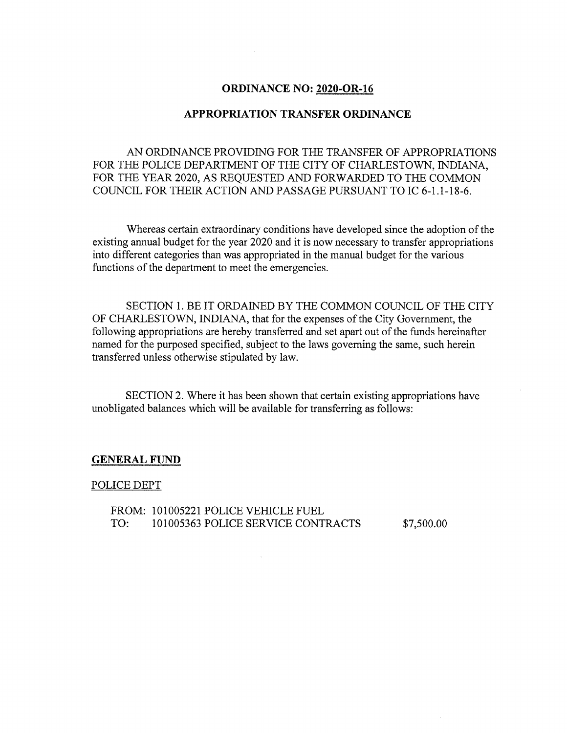## **ORDINANCE NO: 2020-OR-16**

## **APPROPRIATION TRANSFER ORDINANCE**

AN ORDINANCE PROVIDING FOR THE TRANSFER OF APPROPRIATIONS FOR THE POLICE DEPARTMENT OF THE CITY OF CHARLESTOWN, INDIANA, FOR THE YEAR 2020, AS REQUESTED AND FORWARDED TO THE COMMON COUNCIL FOR THEIR ACTION AND PASSAGE PURSUANT TO IC 6-1.1-18-6.

Whereas certain extraordinary conditions have developed since the adoption of the existing annual budget for the year 2020 and it is now necessary to transfer appropriations into different categories than was appropriated in the manual budget for the various functions of the department to meet the emergencies.

SECTION 1. BE IT ORDAINED BY THE COMMON COUNCIL OF THE CITY OF CHARLESTOWN, INDIANA, that for the expenses of the City Government, the following appropriations are hereby transferred and set apart out of the funds hereinafter named for the purposed specified, subject to the laws governing the same, such herein transferred unless otherwise stipulated by law.

SECTION 2. Where it has been shown that certain existing appropriations have unobligated balances which will be available for transferring as follows;

## **GENERAL FUND**

## POLICE DEPT

FROM: 101005221 POLICE VEHICLE FUEL TO: 101005363 POLICE SERVICE CONTRACTS \$7,500.00

 $\mathcal{A}^{\mathcal{A}}$